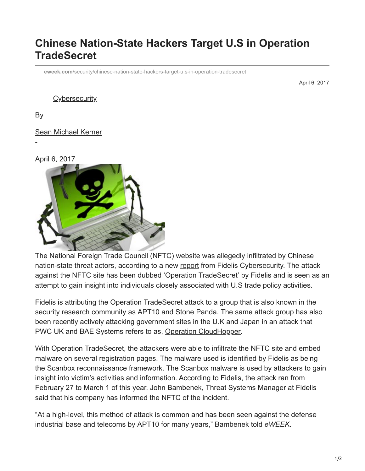## **Chinese Nation-State Hackers Target U.S in Operation TradeSecret**

**eweek.com**[/security/chinese-nation-state-hackers-target-u.s-in-operation-tradesecret](https://www.eweek.com/security/chinese-nation-state-hackers-target-u.s-in-operation-tradesecret)

April 6, 2017

## **[Cybersecurity](https://www.eweek.com/security/)**

By

-

## [Sean Michael Kerner](https://www.eweek.com/author/sean-michael-kerner/)

April 6, 2017



The National Foreign Trade Council (NFTC) website was allegedly infiltrated by Chinese nation-state threat actors, according to a new [report](https://www.fidelissecurity.com/TradeSecret) from Fidelis Cybersecurity. The attack against the NFTC site has been dubbed 'Operation TradeSecret' by Fidelis and is seen as an attempt to gain insight into individuals closely associated with U.S trade policy activities.

Fidelis is attributing the Operation TradeSecret attack to a group that is also known in the security research community as APT10 and Stone Panda. The same attack group has also been recently actively attacking government sites in the U.K and Japan in an attack that PWC UK and BAE Systems refers to as, [Operation CloudHopper.](https://www.pwc.co.uk/issues/cyber-security-data-privacy/insights/operation-cloud-hopper.html)

With Operation TradeSecret, the attackers were able to infiltrate the NFTC site and embed malware on several registration pages. The malware used is identified by Fidelis as being the Scanbox reconnaissance framework. The Scanbox malware is used by attackers to gain insight into victim's activities and information. According to Fidelis, the attack ran from February 27 to March 1 of this year. John Bambenek, Threat Systems Manager at Fidelis said that his company has informed the NFTC of the incident.

"At a high-level, this method of attack is common and has been seen against the defense industrial base and telecoms by APT10 for many years," Bambenek told *eWEEK*.